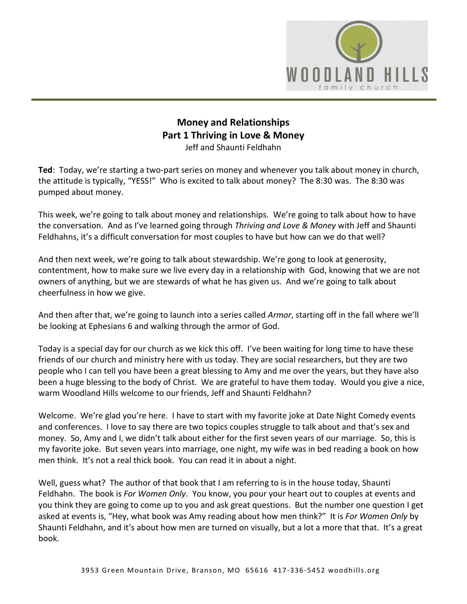

## **Money and Relationships Part 1 Thriving in Love & Money** Jeff and Shaunti Feldhahn

**Ted**: Today, we're starting a two-part series on money and whenever you talk about money in church, the attitude is typically, "YESS!" Who is excited to talk about money? The 8:30 was. The 8:30 was pumped about money.

This week, we're going to talk about money and relationships. We're going to talk about how to have the conversation. And as I've learned going through *Thriving and Love & Money* with Jeff and Shaunti Feldhahns, it's a difficult conversation for most couples to have but how can we do that well?

And then next week, we're going to talk about stewardship. We're gong to look at generosity, contentment, how to make sure we live every day in a relationship with God, knowing that we are not owners of anything, but we are stewards of what he has given us. And we're going to talk about cheerfulness in how we give.

And then after that, we're going to launch into a series called *Armor*, starting off in the fall where we'll be looking at Ephesians 6 and walking through the armor of God.

Today is a special day for our church as we kick this off. I've been waiting for long time to have these friends of our church and ministry here with us today. They are social researchers, but they are two people who I can tell you have been a great blessing to Amy and me over the years, but they have also been a huge blessing to the body of Christ. We are grateful to have them today. Would you give a nice, warm Woodland Hills welcome to our friends, Jeff and Shaunti Feldhahn?

Welcome. We're glad you're here. I have to start with my favorite joke at Date Night Comedy events and conferences. I love to say there are two topics couples struggle to talk about and that's sex and money. So, Amy and I, we didn't talk about either for the first seven years of our marriage. So, this is my favorite joke. But seven years into marriage, one night, my wife was in bed reading a book on how men think. It's not a real thick book. You can read it in about a night.

Well, guess what? The author of that book that I am referring to is in the house today, Shaunti Feldhahn. The book is *For Women Only*. You know, you pour your heart out to couples at events and you think they are going to come up to you and ask great questions. But the number one question I get asked at events is, "Hey, what book was Amy reading about how men think?" It is *For Women Only* by Shaunti Feldhahn, and it's about how men are turned on visually, but a lot a more that that. It's a great book.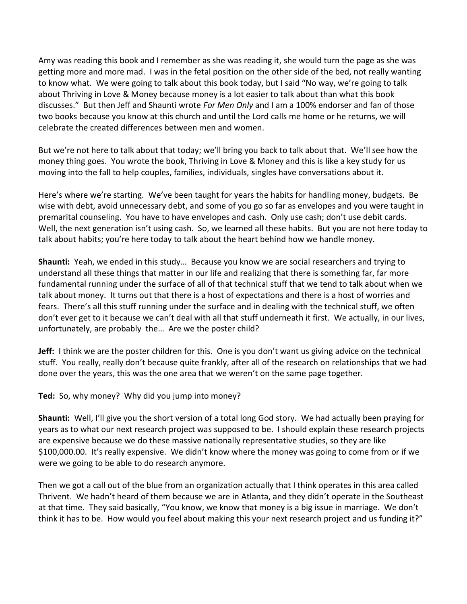Amy was reading this book and I remember as she was reading it, she would turn the page as she was getting more and more mad. I was in the fetal position on the other side of the bed, not really wanting to know what. We were going to talk about this book today, but I said "No way, we're going to talk about Thriving in Love & Money because money is a lot easier to talk about than what this book discusses." But then Jeff and Shaunti wrote *For Men Only* and I am a 100% endorser and fan of those two books because you know at this church and until the Lord calls me home or he returns, we will celebrate the created differences between men and women.

But we're not here to talk about that today; we'll bring you back to talk about that. We'll see how the money thing goes. You wrote the book, Thriving in Love & Money and this is like a key study for us moving into the fall to help couples, families, individuals, singles have conversations about it.

Here's where we're starting. We've been taught for years the habits for handling money, budgets. Be wise with debt, avoid unnecessary debt, and some of you go so far as envelopes and you were taught in premarital counseling. You have to have envelopes and cash. Only use cash; don't use debit cards. Well, the next generation isn't using cash. So, we learned all these habits. But you are not here today to talk about habits; you're here today to talk about the heart behind how we handle money.

**Shaunti:** Yeah, we ended in this study… Because you know we are social researchers and trying to understand all these things that matter in our life and realizing that there is something far, far more fundamental running under the surface of all of that technical stuff that we tend to talk about when we talk about money. It turns out that there is a host of expectations and there is a host of worries and fears. There's all this stuff running under the surface and in dealing with the technical stuff, we often don't ever get to it because we can't deal with all that stuff underneath it first. We actually, in our lives, unfortunately, are probably the… Are we the poster child?

**Jeff:** I think we are the poster children for this. One is you don't want us giving advice on the technical stuff. You really, really don't because quite frankly, after all of the research on relationships that we had done over the years, this was the one area that we weren't on the same page together.

**Ted:** So, why money? Why did you jump into money?

**Shaunti:** Well, I'll give you the short version of a total long God story. We had actually been praying for years as to what our next research project was supposed to be. I should explain these research projects are expensive because we do these massive nationally representative studies, so they are like \$100,000.00. It's really expensive. We didn't know where the money was going to come from or if we were we going to be able to do research anymore.

Then we got a call out of the blue from an organization actually that I think operates in this area called Thrivent. We hadn't heard of them because we are in Atlanta, and they didn't operate in the Southeast at that time. They said basically, "You know, we know that money is a big issue in marriage. We don't think it has to be. How would you feel about making this your next research project and us funding it?"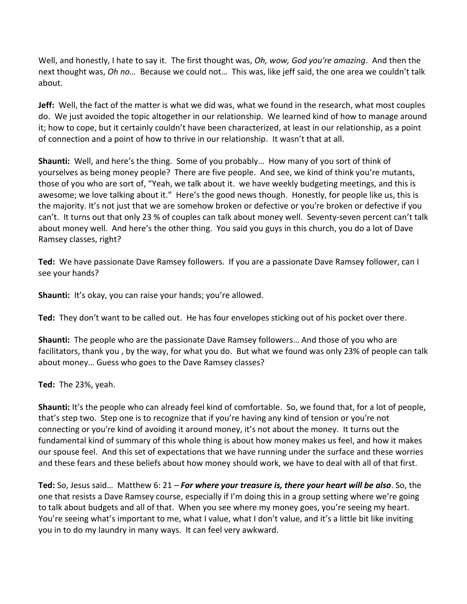Well, and honestly, I hate to say it. The first thought was, *Oh, wow, God you're amazing*. And then the next thought was, *Oh no…* Because we could not… This was, like jeff said, the one area we couldn't talk about.

**Jeff:** Well, the fact of the matter is what we did was, what we found in the research, what most couples do. We just avoided the topic altogether in our relationship. We learned kind of how to manage around it; how to cope, but it certainly couldn't have been characterized, at least in our relationship, as a point of connection and a point of how to thrive in our relationship. It wasn't that at all.

**Shaunti:** Well, and here's the thing. Some of you probably… How many of you sort of think of yourselves as being money people? There are five people. And see, we kind of think you're mutants, those of you who are sort of, "Yeah, we talk about it. we have weekly budgeting meetings, and this is awesome; we love talking about it." Here's the good news though. Honestly, for people like us, this is the majority. It's not just that we are somehow broken or defective or you're broken or defective if you can't. It turns out that only 23 % of couples can talk about money well. Seventy-seven percent can't talk about money well. And here's the other thing. You said you guys in this church, you do a lot of Dave Ramsey classes, right?

**Ted:** We have passionate Dave Ramsey followers. If you are a passionate Dave Ramsey follower, can I see your hands?

**Shaunti:** It's okay, you can raise your hands; you're allowed.

**Ted:** They don't want to be called out. He has four envelopes sticking out of his pocket over there.

**Shaunti:** The people who are the passionate Dave Ramsey followers… And those of you who are facilitators, thank you , by the way, for what you do. But what we found was only 23% of people can talk about money… Guess who goes to the Dave Ramsey classes?

**Ted:** The 23%, yeah.

**Shaunti:** It's the people who can already feel kind of comfortable. So, we found that, for a lot of people, that's step two. Step one is to recognize that if you're having any kind of tension or you're not connecting or you're kind of avoiding it around money, it's not about the money. It turns out the fundamental kind of summary of this whole thing is about how money makes us feel, and how it makes our spouse feel. And this set of expectations that we have running under the surface and these worries and these fears and these beliefs about how money should work, we have to deal with all of that first.

**Ted:** So, Jesus said… Matthew 6: 21 – *For where your treasure is, there your heart will be also*. So, the one that resists a Dave Ramsey course, especially if I'm doing this in a group setting where we're going to talk about budgets and all of that. When you see where my money goes, you're seeing my heart. You're seeing what's important to me, what I value, what I don't value, and it's a little bit like inviting you in to do my laundry in many ways. It can feel very awkward.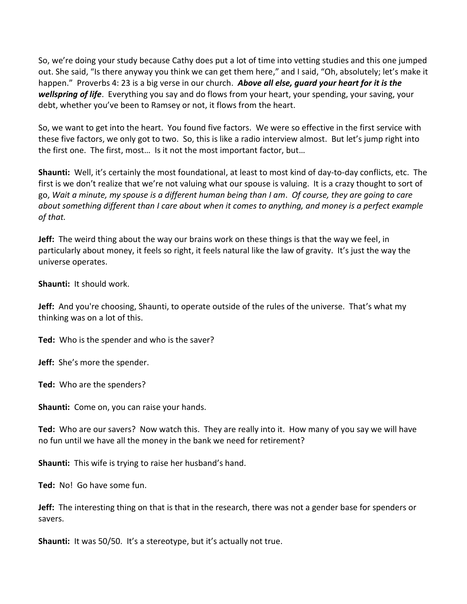So, we're doing your study because Cathy does put a lot of time into vetting studies and this one jumped out. She said, "Is there anyway you think we can get them here," and I said, "Oh, absolutely; let's make it happen." Proverbs 4: 23 is a big verse in our church. *Above all else, guard your heart for it is the wellspring of life*. Everything you say and do flows from your heart, your spending, your saving, your debt, whether you've been to Ramsey or not, it flows from the heart.

So, we want to get into the heart. You found five factors. We were so effective in the first service with these five factors, we only got to two. So, this is like a radio interview almost. But let's jump right into the first one. The first, most… Is it not the most important factor, but…

**Shaunti:** Well, it's certainly the most foundational, at least to most kind of day-to-day conflicts, etc. The first is we don't realize that we're not valuing what our spouse is valuing. It is a crazy thought to sort of go, *Wait a minute, my spouse is a different human being than I am*. *Of course, they are going to care about something different than I care about when it comes to anything, and money is a perfect example of that.*

**Jeff:** The weird thing about the way our brains work on these things is that the way we feel, in particularly about money, it feels so right, it feels natural like the law of gravity. It's just the way the universe operates.

**Shaunti:** It should work.

**Jeff:** And you're choosing, Shaunti, to operate outside of the rules of the universe. That's what my thinking was on a lot of this.

**Ted:** Who is the spender and who is the saver?

**Jeff:** She's more the spender.

**Ted:** Who are the spenders?

**Shaunti:** Come on, you can raise your hands.

**Ted:** Who are our savers? Now watch this. They are really into it. How many of you say we will have no fun until we have all the money in the bank we need for retirement?

**Shaunti:** This wife is trying to raise her husband's hand.

**Ted:** No! Go have some fun.

**Jeff:** The interesting thing on that is that in the research, there was not a gender base for spenders or savers.

**Shaunti:** It was 50/50. It's a stereotype, but it's actually not true.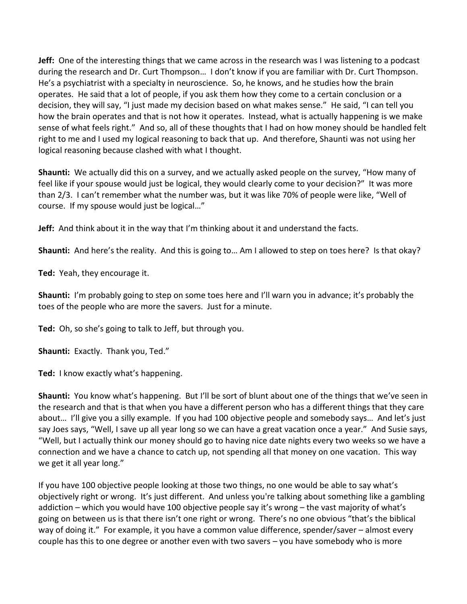**Jeff:** One of the interesting things that we came across in the research was I was listening to a podcast during the research and Dr. Curt Thompson… I don't know if you are familiar with Dr. Curt Thompson. He's a psychiatrist with a specialty in neuroscience. So, he knows, and he studies how the brain operates. He said that a lot of people, if you ask them how they come to a certain conclusion or a decision, they will say, "I just made my decision based on what makes sense." He said, "I can tell you how the brain operates and that is not how it operates. Instead, what is actually happening is we make sense of what feels right." And so, all of these thoughts that I had on how money should be handled felt right to me and I used my logical reasoning to back that up. And therefore, Shaunti was not using her logical reasoning because clashed with what I thought.

**Shaunti:** We actually did this on a survey, and we actually asked people on the survey, "How many of feel like if your spouse would just be logical, they would clearly come to your decision?" It was more than 2/3. I can't remember what the number was, but it was like 70% of people were like, "Well of course. If my spouse would just be logical…"

**Jeff:** And think about it in the way that I'm thinking about it and understand the facts.

**Shaunti:** And here's the reality. And this is going to… Am I allowed to step on toes here? Is that okay?

**Ted:** Yeah, they encourage it.

**Shaunti:** I'm probably going to step on some toes here and I'll warn you in advance; it's probably the toes of the people who are more the savers. Just for a minute.

**Ted:** Oh, so she's going to talk to Jeff, but through you.

**Shaunti:** Exactly. Thank you, Ted."

**Ted:** I know exactly what's happening.

**Shaunti:** You know what's happening. But I'll be sort of blunt about one of the things that we've seen in the research and that is that when you have a different person who has a different things that they care about… I'll give you a silly example. If you had 100 objective people and somebody says… And let's just say Joes says, "Well, I save up all year long so we can have a great vacation once a year." And Susie says, "Well, but I actually think our money should go to having nice date nights every two weeks so we have a connection and we have a chance to catch up, not spending all that money on one vacation. This way we get it all year long."

If you have 100 objective people looking at those two things, no one would be able to say what's objectively right or wrong. It's just different. And unless you're talking about something like a gambling addiction – which you would have 100 objective people say it's wrong – the vast majority of what's going on between us is that there isn't one right or wrong. There's no one obvious "that's the biblical way of doing it." For example, it you have a common value difference, spender/saver – almost every couple has this to one degree or another even with two savers – you have somebody who is more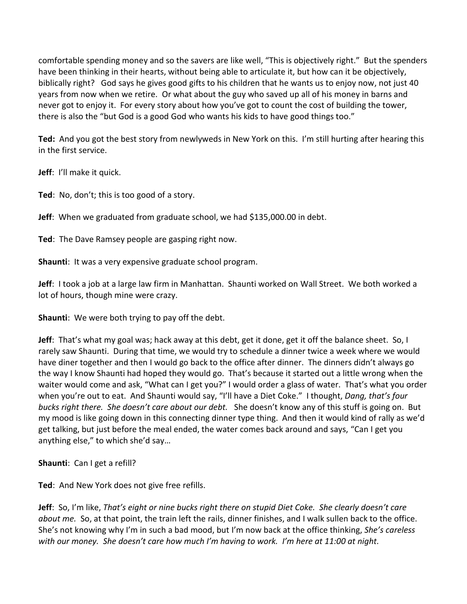comfortable spending money and so the savers are like well, "This is objectively right." But the spenders have been thinking in their hearts, without being able to articulate it, but how can it be objectively, biblically right? God says he gives good gifts to his children that he wants us to enjoy now, not just 40 years from now when we retire. Or what about the guy who saved up all of his money in barns and never got to enjoy it. For every story about how you've got to count the cost of building the tower, there is also the "but God is a good God who wants his kids to have good things too."

**Ted:** And you got the best story from newlyweds in New York on this. I'm still hurting after hearing this in the first service.

**Jeff**: I'll make it quick.

**Ted**: No, don't; this is too good of a story.

**Jeff**: When we graduated from graduate school, we had \$135,000.00 in debt.

**Ted**: The Dave Ramsey people are gasping right now.

**Shaunti**: It was a very expensive graduate school program.

**Jeff**: I took a job at a large law firm in Manhattan. Shaunti worked on Wall Street. We both worked a lot of hours, though mine were crazy.

**Shaunti**: We were both trying to pay off the debt.

**Jeff**: That's what my goal was; hack away at this debt, get it done, get it off the balance sheet. So, I rarely saw Shaunti. During that time, we would try to schedule a dinner twice a week where we would have diner together and then I would go back to the office after dinner. The dinners didn't always go the way I know Shaunti had hoped they would go. That's because it started out a little wrong when the waiter would come and ask, "What can I get you?" I would order a glass of water. That's what you order when you're out to eat. And Shaunti would say, "I'll have a Diet Coke." I thought, *Dang, that's four bucks right there. She doesn't care about our debt.* She doesn't know any of this stuff is going on. But my mood is like going down in this connecting dinner type thing. And then it would kind of rally as we'd get talking, but just before the meal ended, the water comes back around and says, "Can I get you anything else," to which she'd say…

**Shaunti**: Can I get a refill?

**Ted**: And New York does not give free refills.

**Jeff**: So, I'm like, *That's eight or nine bucks right there on stupid Diet Coke. She clearly doesn't care about me.* So, at that point, the train left the rails, dinner finishes, and I walk sullen back to the office. She's not knowing why I'm in such a bad mood, but I'm now back at the office thinking, *She's careless with our money. She doesn't care how much I'm having to work. I'm here at 11:00 at night.*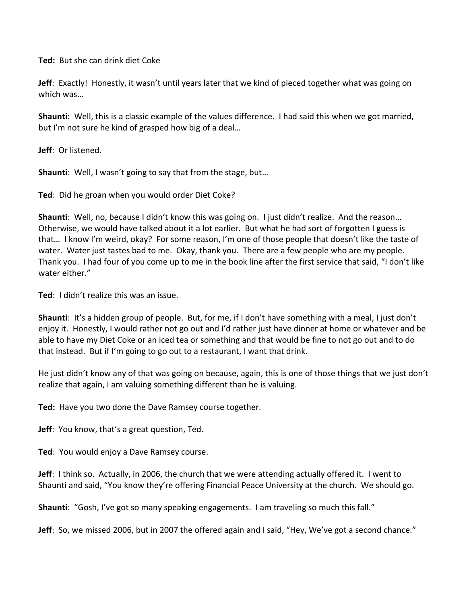**Ted:** But she can drink diet Coke

**Jeff**: Exactly! Honestly, it wasn't until years later that we kind of pieced together what was going on which was…

**Shaunti:** Well, this is a classic example of the values difference. I had said this when we got married, but I'm not sure he kind of grasped how big of a deal…

**Jeff**: Or listened.

**Shaunti**: Well, I wasn't going to say that from the stage, but…

**Ted**: Did he groan when you would order Diet Coke?

**Shaunti**: Well, no, because I didn't know this was going on. I just didn't realize. And the reason… Otherwise, we would have talked about it a lot earlier. But what he had sort of forgotten I guess is that… I know I'm weird, okay? For some reason, I'm one of those people that doesn't like the taste of water. Water just tastes bad to me. Okay, thank you. There are a few people who are my people. Thank you. I had four of you come up to me in the book line after the first service that said, "I don't like water either."

**Ted**: I didn't realize this was an issue.

**Shaunti**: It's a hidden group of people. But, for me, if I don't have something with a meal, I just don't enjoy it. Honestly, I would rather not go out and I'd rather just have dinner at home or whatever and be able to have my Diet Coke or an iced tea or something and that would be fine to not go out and to do that instead. But if I'm going to go out to a restaurant, I want that drink.

He just didn't know any of that was going on because, again, this is one of those things that we just don't realize that again, I am valuing something different than he is valuing.

**Ted:** Have you two done the Dave Ramsey course together.

**Jeff**: You know, that's a great question, Ted.

**Ted**: You would enjoy a Dave Ramsey course.

**Jeff**: I think so. Actually, in 2006, the church that we were attending actually offered it. I went to Shaunti and said, "You know they're offering Financial Peace University at the church. We should go.

**Shaunti**: "Gosh, I've got so many speaking engagements. I am traveling so much this fall."

**Jeff**: So, we missed 2006, but in 2007 the offered again and I said, "Hey, We've got a second chance."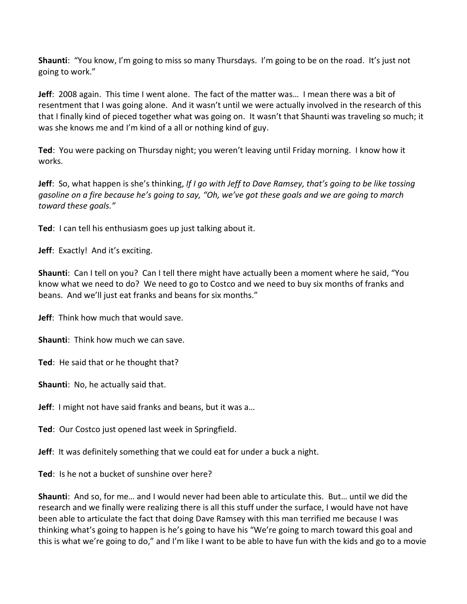**Shaunti**: "You know, I'm going to miss so many Thursdays. I'm going to be on the road. It's just not going to work."

**Jeff**: 2008 again. This time I went alone. The fact of the matter was… I mean there was a bit of resentment that I was going alone. And it wasn't until we were actually involved in the research of this that I finally kind of pieced together what was going on. It wasn't that Shaunti was traveling so much; it was she knows me and I'm kind of a all or nothing kind of guy.

**Ted**: You were packing on Thursday night; you weren't leaving until Friday morning. I know how it works.

**Jeff**: So, what happen is she's thinking, *If I go with Jeff to Dave Ramsey, that's going to be like tossing gasoline on a fire because he's going to say, "Oh, we've got these goals and we are going to march toward these goals."* 

**Ted**: I can tell his enthusiasm goes up just talking about it.

**Jeff**: Exactly! And it's exciting.

**Shaunti**: Can I tell on you? Can I tell there might have actually been a moment where he said, "You know what we need to do? We need to go to Costco and we need to buy six months of franks and beans. And we'll just eat franks and beans for six months."

**Jeff**: Think how much that would save.

**Shaunti**: Think how much we can save.

**Ted**: He said that or he thought that?

**Shaunti**: No, he actually said that.

**Jeff**: I might not have said franks and beans, but it was a…

**Ted**: Our Costco just opened last week in Springfield.

**Jeff**: It was definitely something that we could eat for under a buck a night.

**Ted**: Is he not a bucket of sunshine over here?

**Shaunti**: And so, for me… and I would never had been able to articulate this. But… until we did the research and we finally were realizing there is all this stuff under the surface, I would have not have been able to articulate the fact that doing Dave Ramsey with this man terrified me because I was thinking what's going to happen is he's going to have his "We're going to march toward this goal and this is what we're going to do," and I'm like I want to be able to have fun with the kids and go to a movie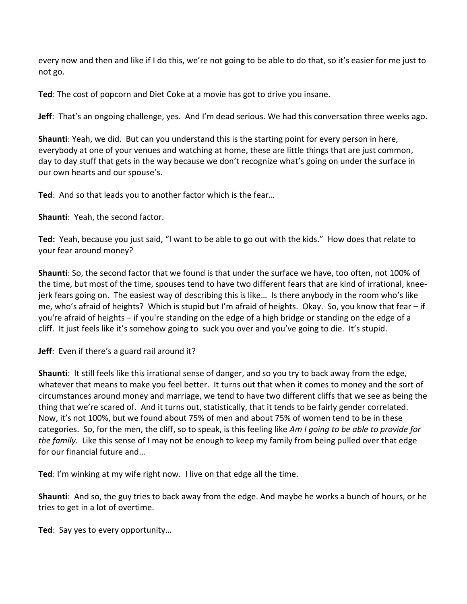every now and then and like if I do this, we're not going to be able to do that, so it's easier for me just to not go.

**Ted**: The cost of popcorn and Diet Coke at a movie has got to drive you insane.

**Jeff**: That's an ongoing challenge, yes. And I'm dead serious. We had this conversation three weeks ago.

**Shaunti**: Yeah, we did. But can you understand this is the starting point for every person in here, everybody at one of your venues and watching at home, these are little things that are just common, day to day stuff that gets in the way because we don't recognize what's going on under the surface in our own hearts and our spouse's.

**Ted**: And so that leads you to another factor which is the fear…

**Shaunti**: Yeah, the second factor.

**Ted:** Yeah, because you just said, "I want to be able to go out with the kids." How does that relate to your fear around money?

**Shaunti**: So, the second factor that we found is that under the surface we have, too often, not 100% of the time, but most of the time, spouses tend to have two different fears that are kind of irrational, kneejerk fears going on. The easiest way of describing this is like… Is there anybody in the room who's like me, who's afraid of heights? Which is stupid but I'm afraid of heights. Okay. So, you know that fear – if you're afraid of heights – if you're standing on the edge of a high bridge or standing on the edge of a cliff. It just feels like it's somehow going to suck you over and you've going to die. It's stupid.

**Jeff**: Even if there's a guard rail around it?

**Shaunti**: It still feels like this irrational sense of danger, and so you try to back away from the edge, whatever that means to make you feel better. It turns out that when it comes to money and the sort of circumstances around money and marriage, we tend to have two different cliffs that we see as being the thing that we're scared of. And it turns out, statistically, that it tends to be fairly gender correlated. Now, it's not 100%, but we found about 75% of men and about 75% of women tend to be in these categories. So, for the men, the cliff, so to speak, is this feeling like *Am I going to be able to provide for the family.* Like this sense of I may not be enough to keep my family from being pulled over that edge for our financial future and…

**Ted**: I'm winking at my wife right now. I live on that edge all the time.

**Shaunti**: And so, the guy tries to back away from the edge. And maybe he works a bunch of hours, or he tries to get in a lot of overtime.

**Ted**: Say yes to every opportunity…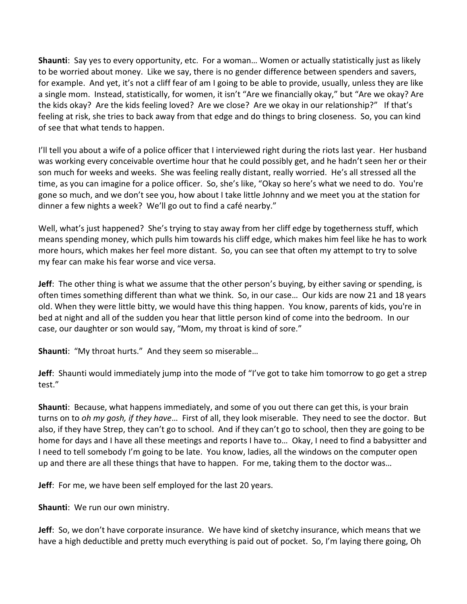**Shaunti**: Say yes to every opportunity, etc. For a woman… Women or actually statistically just as likely to be worried about money. Like we say, there is no gender difference between spenders and savers, for example. And yet, it's not a cliff fear of am I going to be able to provide, usually, unless they are like a single mom. Instead, statistically, for women, it isn't "Are we financially okay," but "Are we okay? Are the kids okay? Are the kids feeling loved? Are we close? Are we okay in our relationship?" If that's feeling at risk, she tries to back away from that edge and do things to bring closeness. So, you can kind of see that what tends to happen.

I'll tell you about a wife of a police officer that I interviewed right during the riots last year. Her husband was working every conceivable overtime hour that he could possibly get, and he hadn't seen her or their son much for weeks and weeks. She was feeling really distant, really worried. He's all stressed all the time, as you can imagine for a police officer. So, she's like, "Okay so here's what we need to do. You're gone so much, and we don't see you, how about I take little Johnny and we meet you at the station for dinner a few nights a week? We'll go out to find a café nearby."

Well, what's just happened? She's trying to stay away from her cliff edge by togetherness stuff, which means spending money, which pulls him towards his cliff edge, which makes him feel like he has to work more hours, which makes her feel more distant. So, you can see that often my attempt to try to solve my fear can make his fear worse and vice versa.

**Jeff**: The other thing is what we assume that the other person's buying, by either saving or spending, is often times something different than what we think. So, in our case… Our kids are now 21 and 18 years old. When they were little bitty, we would have this thing happen. You know, parents of kids, you're in bed at night and all of the sudden you hear that little person kind of come into the bedroom. In our case, our daughter or son would say, "Mom, my throat is kind of sore."

**Shaunti**: "My throat hurts." And they seem so miserable…

**Jeff**: Shaunti would immediately jump into the mode of "I've got to take him tomorrow to go get a strep test."

**Shaunti**: Because, what happens immediately, and some of you out there can get this, is your brain turns on to *oh my gosh, if they have*… First of all, they look miserable. They need to see the doctor. But also, if they have Strep, they can't go to school. And if they can't go to school, then they are going to be home for days and I have all these meetings and reports I have to… Okay, I need to find a babysitter and I need to tell somebody I'm going to be late. You know, ladies, all the windows on the computer open up and there are all these things that have to happen. For me, taking them to the doctor was…

**Jeff**: For me, we have been self employed for the last 20 years.

**Shaunti**: We run our own ministry.

**Jeff**: So, we don't have corporate insurance. We have kind of sketchy insurance, which means that we have a high deductible and pretty much everything is paid out of pocket. So, I'm laying there going, Oh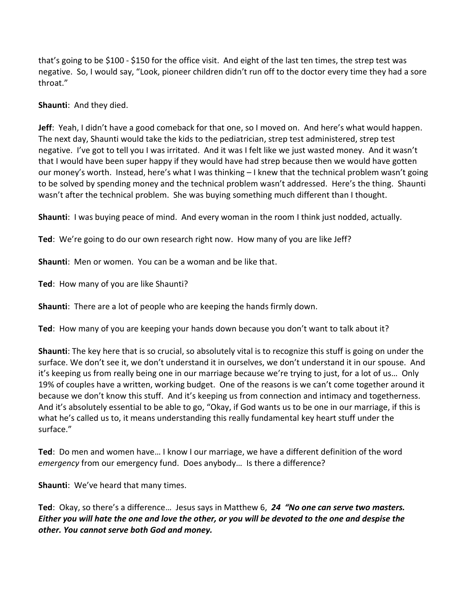that's going to be \$100 - \$150 for the office visit. And eight of the last ten times, the strep test was negative. So, I would say, "Look, pioneer children didn't run off to the doctor every time they had a sore throat."

**Shaunti**: And they died.

**Jeff**: Yeah, I didn't have a good comeback for that one, so I moved on. And here's what would happen. The next day, Shaunti would take the kids to the pediatrician, strep test administered, strep test negative. I've got to tell you I was irritated. And it was I felt like we just wasted money. And it wasn't that I would have been super happy if they would have had strep because then we would have gotten our money's worth. Instead, here's what I was thinking – I knew that the technical problem wasn't going to be solved by spending money and the technical problem wasn't addressed. Here's the thing. Shaunti wasn't after the technical problem. She was buying something much different than I thought.

**Shaunti**: I was buying peace of mind. And every woman in the room I think just nodded, actually.

**Ted**: We're going to do our own research right now. How many of you are like Jeff?

**Shaunti**: Men or women. You can be a woman and be like that.

**Ted**: How many of you are like Shaunti?

**Shaunti**: There are a lot of people who are keeping the hands firmly down.

**Ted**: How many of you are keeping your hands down because you don't want to talk about it?

**Shaunti**: The key here that is so crucial, so absolutely vital is to recognize this stuff is going on under the surface. We don't see it, we don't understand it in ourselves, we don't understand it in our spouse. And it's keeping us from really being one in our marriage because we're trying to just, for a lot of us… Only 19% of couples have a written, working budget. One of the reasons is we can't come together around it because we don't know this stuff. And it's keeping us from connection and intimacy and togetherness. And it's absolutely essential to be able to go, "Okay, if God wants us to be one in our marriage, if this is what he's called us to, it means understanding this really fundamental key heart stuff under the surface."

**Ted**: Do men and women have… I know I our marriage, we have a different definition of the word *emergency* from our emergency fund. Does anybody… Is there a difference?

**Shaunti**: We've heard that many times.

**Ted**: Okay, so there's a difference… Jesus says in Matthew 6, *24 "No one can serve two masters. Either you will hate the one and love the other, or you will be devoted to the one and despise the other. You cannot serve both God and money.*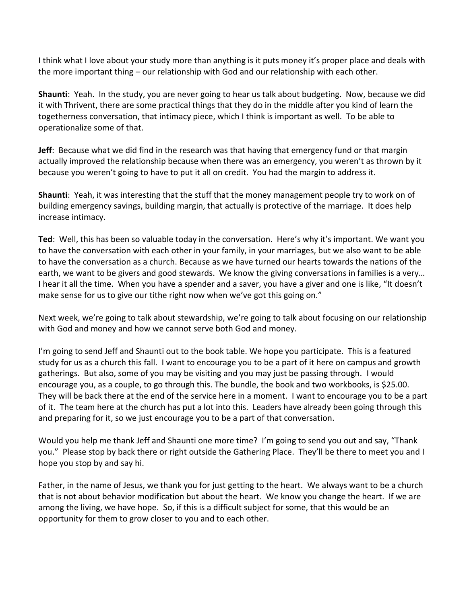I think what I love about your study more than anything is it puts money it's proper place and deals with the more important thing – our relationship with God and our relationship with each other.

**Shaunti**: Yeah. In the study, you are never going to hear us talk about budgeting. Now, because we did it with Thrivent, there are some practical things that they do in the middle after you kind of learn the togetherness conversation, that intimacy piece, which I think is important as well. To be able to operationalize some of that.

**Jeff**: Because what we did find in the research was that having that emergency fund or that margin actually improved the relationship because when there was an emergency, you weren't as thrown by it because you weren't going to have to put it all on credit. You had the margin to address it.

**Shaunti**: Yeah, it was interesting that the stuff that the money management people try to work on of building emergency savings, building margin, that actually is protective of the marriage. It does help increase intimacy.

**Ted**: Well, this has been so valuable today in the conversation. Here's why it's important. We want you to have the conversation with each other in your family, in your marriages, but we also want to be able to have the conversation as a church. Because as we have turned our hearts towards the nations of the earth, we want to be givers and good stewards. We know the giving conversations in families is a very… I hear it all the time. When you have a spender and a saver, you have a giver and one is like, "It doesn't make sense for us to give our tithe right now when we've got this going on."

Next week, we're going to talk about stewardship, we're going to talk about focusing on our relationship with God and money and how we cannot serve both God and money.

I'm going to send Jeff and Shaunti out to the book table. We hope you participate. This is a featured study for us as a church this fall. I want to encourage you to be a part of it here on campus and growth gatherings. But also, some of you may be visiting and you may just be passing through. I would encourage you, as a couple, to go through this. The bundle, the book and two workbooks, is \$25.00. They will be back there at the end of the service here in a moment. I want to encourage you to be a part of it. The team here at the church has put a lot into this. Leaders have already been going through this and preparing for it, so we just encourage you to be a part of that conversation.

Would you help me thank Jeff and Shaunti one more time? I'm going to send you out and say, "Thank you." Please stop by back there or right outside the Gathering Place. They'll be there to meet you and I hope you stop by and say hi.

Father, in the name of Jesus, we thank you for just getting to the heart. We always want to be a church that is not about behavior modification but about the heart. We know you change the heart. If we are among the living, we have hope. So, if this is a difficult subject for some, that this would be an opportunity for them to grow closer to you and to each other.